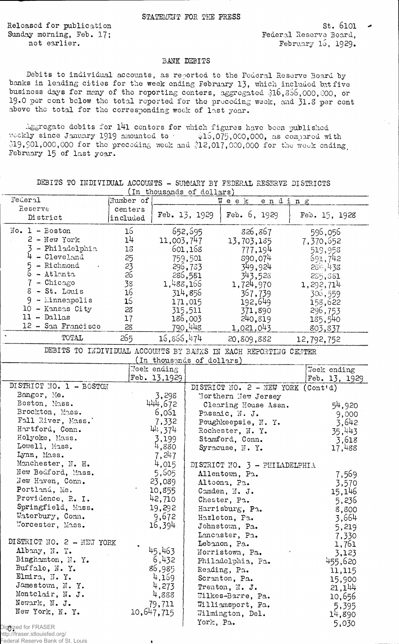Released for publication Sunday morning, Feb. 17; not earlier.

 $St. 6101 -$ Federal Reserve Board, February  $15, 1929.$ 

## BANK DEBITS

Debits to individual accounts, as reported to the Federal Reserve Board bybanks in leading cities for the week ending February 13, which included but five business days for many of the reporting centers, aggregated \$16,356,000,000, or 19.0 per cent below the total reported for the preceding week, and 31.8 per cent above the total for the corresponding week of last year.

Aggregate debits for 141 centers for which figures have been published weekly since January 1919 amounted to  $\qquad$  \$15,075,000,000, as compared with  $19,901,000,000$  for the preceding week and  $12,017,000,000$  for the week ending, February 15 of last year.

|                           |           | (in thousands of doffars) |               |                                                                 |                    |
|---------------------------|-----------|---------------------------|---------------|-----------------------------------------------------------------|--------------------|
| Federal                   | Number of |                           |               | Week<br>ending                                                  |                    |
| Reserve                   | centers   |                           |               |                                                                 |                    |
| District                  | included  |                           | Feb. 13, 1929 | Feb. $6, 1929$                                                  | Feb. 15, 1928      |
| $No. 1 - Boston$          | 16        |                           | 652,695       | 826,867                                                         | 596,056            |
| $2 - New York$            | 14        | 11,003,747                |               |                                                                 |                    |
| - Philadelphia            |           |                           |               | 13,703,185                                                      | 7,370,652          |
| 4                         | 15        |                           | 601,168       | 777,194                                                         | 519,958            |
| - Cleveland               | 25        |                           | 759,501       | 890,074                                                         | 691,742            |
| 5<br>- Richmond           | 23        |                           | 296,733       | 349,924                                                         | $28^{\circ}$ , 438 |
| 6<br>- Atlanta            | 26        |                           | 286,581       | 343,528                                                         | 235,381            |
| - Chicago                 | 38        | 1,488,166                 |               | 1,724,970                                                       | 1,292,714          |
| 8 - St. Louis             | 16        |                           | 314,856       | 367,739                                                         | 306,559            |
| $9 -$ Minneapolis         | 16        |                           | 171,015       | 192,649                                                         | 158,622            |
| 10 - Kansas City          | 28        |                           | 315,511       | 371,890                                                         | 296,753            |
| $11 - Dallas$             | 17        |                           | 186,003       | 240,819                                                         | 185,540            |
| 12 - San Francisco        | 28        |                           | 790,448       | 1,021,043                                                       | 803,837            |
| TOTAL                     | 265       | 16,866,474                |               | 20,809,882                                                      | 12,792,752         |
|                           |           |                           |               | DEBITS TO INDIVIDUAL ACCOUNTS BY BANKS IN EACH REPORTING CENTER |                    |
|                           |           | (In thousands of dollars) |               |                                                                 |                    |
|                           |           | Week ending               |               |                                                                 | Week ending        |
|                           |           | Feb. 13,1929              |               |                                                                 | Feb. 13, 1929      |
| DISTRICT NO. 1 - BOSTON   |           |                           |               | DISTRICT NO. 2 - NEW YORK (Cont'd)                              |                    |
| Bangor, Me.               |           | 3,298                     |               | Northern New Jersey                                             |                    |
| Boston, Mass.             |           | 444,672                   |               | Clearing House Assn.                                            |                    |
| Brockton, Mass.           |           | 6,061                     |               |                                                                 | 54,920             |
| Fall River, Mass.         |           |                           |               | Passaic, N. J.                                                  | 9,000              |
| Hartford, Conn.           |           | 7,332                     |               | Poughkeepsie, N. Y.                                             | 3,642              |
|                           |           | 44,374                    |               | Rochester, N. Y.                                                | 35,443             |
| Holyoke, Mass.            |           | 3,199                     |               | Stamford, Conn.                                                 | 3,618              |
| Lowell, Mass.             |           | 4,880                     |               | Syracuse, N.Y.                                                  | 17,488             |
| Lynn, Mass.               |           | 7,247                     |               |                                                                 |                    |
| Manchester, N. H.         |           | 4,015                     |               | DI STRICT NO. $3$ - PHILADELPHIA                                |                    |
| New Bedford, Mass.        |           | 5,505                     |               | Allentown, Pa.                                                  | 7,569              |
| New Haven, Conn.          |           | 23,089                    |               | Altoona, Pa.                                                    | 3,570              |
| Portland, Me.             |           | 10,855                    |               | Camden, N. J.                                                   | 15,146             |
| Providence, R. I.         |           | 42,710                    |               | Chester, Pa.                                                    | 5,236              |
| Springfield, Mass.        |           | 19,292                    |               | Harrisburg, Pa.                                                 | 8,800              |
| Waterbury, Conn.          |           | 9,672                     |               | Hazleton, Pa.                                                   | 3,664              |
| Worcester, Mass.          |           | 16,394                    |               | Johnstown, Pa.                                                  | 5,219              |
|                           |           |                           |               | Lancaster, Pa.                                                  | 7,330              |
| DISTRICT NO. 2 - MEW YORK |           |                           |               | Lebanon, Pa.                                                    | 1,761              |
| Albany, N. Y.             |           | 45,463                    |               | Norristown, Pa.                                                 |                    |
| Binghamton, N.Y.          |           | 6,432                     |               |                                                                 | 3,123              |
| Buffalo, N.Y.             |           |                           |               | Philadelphia, Pa.                                               | 455,620            |
| Elmira, N.Y.              |           | 86,985                    |               | Reading, Pa.                                                    | 11,115             |
|                           |           | 4,169                     |               | Scranton, Pa.                                                   | 15,900             |
| Jamestown, N. Y.          |           | 4,273                     |               | Trenton, N. J.                                                  | 21,144             |
| Montclair, N. J.          |           | 4,888                     |               | Wilkes-Barre, Pa.                                               | 10,656             |
| Newark, N. J.             |           | 79,711                    |               | Williamsport, Fa.                                               | 5,395              |
| New York, N. Y.           |           | 10,647,715                |               | Wilmington, Del.                                                | 14,890             |
| Digitized for FRASER      |           |                           | York, Pa.     |                                                                 | 5,030              |

\*

DEBITS TO INDIVIDUAL ACCOUNTS - SUMMARY BY FEDERAL RESERVE DISTRICTS  $(m + h)$ 

http://fraser.stlouisfed.org/

Federal Reserve Bank of St. Louis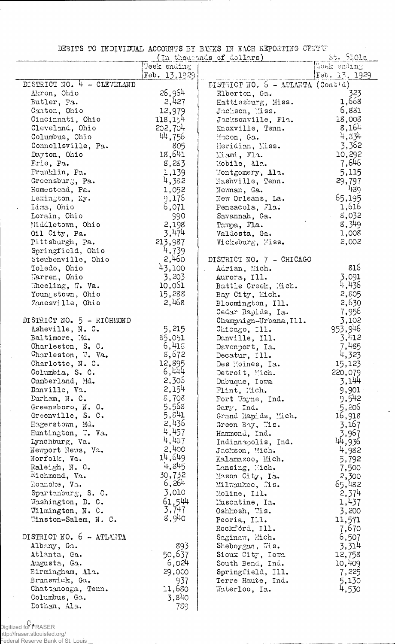DEBITS TO INDIVIDUAL ACCOUNTS BY BANKS IN EACH REPORTING CENTER

|                            |                | (In thousands of dollars)                 | $5:$ $101a$   |
|----------------------------|----------------|-------------------------------------------|---------------|
|                            | Week ending    |                                           | Woek ending   |
|                            | Feb. 13, 1929. |                                           | Feb. 13, 1929 |
| DISTRICT NO. 4 - CLEVELAND |                | DISTRICT NO. $5 - \text{ATLMTA}$ (Contid) |               |
| Akron, Ohio                | 26,964         | Elberton, Ga.                             | 323           |
| Butler, Pa.                | 2,427          | Hattiesburg, Miss.                        | 1,668         |
| Canton, Ohio               | 12,979         | Jackson, Miss.                            | 6,881         |
| Cincinnati, Ohio           | 118,154        | Jacksonville, Fla.                        | 18,003        |
| Cleveland, Ohio            | 202,704        | Knoxville, Tenn.                          | 8,164         |
| Columbus, Ohio             | 44,756         | Macon, Ga.                                | 4,334         |
| Connellsville, Pa.         | 805            | Meridian, Miss.                           | 3,362         |
| Dayton, Ohio               | 18,641         | Miami, Fla.                               | 10,292        |
| Eric, Pa.                  | 8,283          | Mobile, Ala.                              | 7,646         |
| Franklin, Pa.              | 1,139          | Montgomery, Ala.                          | 5,115         |
| Greensburg, Pa.            | 4,382          | Mashville, Tenn.                          | 29,797        |
| Homestead, Pa.             | 1,052          | Newman, Ga.                               | 489           |
|                            |                |                                           | 65,195        |
| Lexington, Ky.             | 9,175          | New Orleans, La.                          |               |
| Lima, Ohio                 | 6,071          | Pensacola, Fla.                           | 1,616         |
| Lorain, Ohio               | 990            | Savannah, Ga.                             | 8,032         |
| Middletown, Ohio           | 2,198          | Tampa, Fla.                               | 8,349         |
| Oil City, Pa.              | 3,474          | Valdosta, Ga.                             | 1,008         |
| Pittsburgh, Pa.            | 213,987        | Vicksburg, Miss.                          | 2,002         |
| Springfield, Ohio          | 4,739          |                                           |               |
| Steubenville, Ohio         | 2,460          | DISTRICT NO. 7 - CHICAGO                  |               |
| Toledo, Ohio               | 43,100         | Adrian, Mich.                             | 816           |
| Marren, Ohio               | 3,203          | Aurora, Ill.                              | 3,091         |
| Theeling, W. Va.           | 10,051         | Battle Creek, Mich.                       | 4,436         |
| Youngstown, Ohio           | 15,288         | Bay City, Mich.                           | 2,805         |
| Zanesville, Ohio           | 2,468          | Bloomington, Ill.                         | 2,630         |
|                            |                | Cedar Rapids, Ia.                         | 7,956         |
| DISTRICT NO. 5 - RICHMOND  |                | Champaign-Urbana, Ill.                    | 3,102         |
| Asheville, N. C.           | 5,215          | Chicago, Ill.                             | 953,946       |
| Baltimore, Md.             | 85,051         | Danville, Ill.                            | 3,412         |
| Charleston, S. C.          | 6,415          | Davenport, Ia.                            | 7,485         |
| Charleston, W. Va.         | 8,672          | Decatur, Ill.                             | 4,323         |
| Charlotte, N. C.           | 12,895         | Des Moines, Ia.                           | 15,123        |
| Columbia, S. C.            | 6,444          | Detroit, Mich.                            | 220,079       |
| Cumberland, Md.            | 2,305          | Dubuque, Iowa                             | 3,144         |
| Danville, Va.              | 2,154          | Flint, Mich.                              | 9,901         |
| Durham, N. C.              | 8,708          | Fort Wayne, Ind.                          | 9,542         |
| Greensboro, N. C.          | 5,568          | Gary, Ind.                                | 5,206         |
| Greenville, S. C.          | 5,541          | Grand Rapids, Mich.                       | 16,918        |
| Hagerstown, Md.            | 2,436          |                                           | 3,167         |
| Huntington,  Va.           | 4,457          | Green Boy, Tis.                           | 3,967         |
| Lynchburg, Va.             | 4,437          | Hammond, Ind.<br>Indianapolis, Ind.       |               |
| Newport News, Va.          | 2,400          |                                           | 44,936        |
| Norfolk, Va.               | 14,649         | Jackson, Mich.                            | 4,982         |
|                            | 4,345          | Kalamazoo, Mich.                          | 5,792         |
| Raleigh, N. C.             | 30,732         | Lansing, Mich.                            | 7,500         |
| Richmond, Va.              | 6,264          | Mason City, Ia.                           | 2,300         |
| Roanoke, Va.               | 3,010          | Milwaukee, Mis.                           | 65,482        |
| Spartanburg, S. C.         |                | Moline, Ill.                              | 2,374         |
| Washington, D. C.          | 61,544         | Muscatine, Ia.                            | 1,437         |
| Wilmington, N. C.          | 3,747          | Oshkosh, Wis.                             | 3,200         |
| Winston-Salem, N. C.       | 8,940          | Peoria, Ill.                              | 11,571        |
|                            |                | Rockford, Ill.                            | 7,670         |
| DISTRICT NO. 6 - ATLANTA   |                | Saginaw, Mich.                            | 6,507         |
| Albany, Ga.                | 893            | Sheboygan, Wis.                           | 3,314         |
| Atlanta, Ga.               | 50,637         | Sioux City, Iowa                          | 12,758        |
| Augusta, Ga.               | 6,024          | South Bend, Ind.                          | 10,409        |
| Birmingham, Ala.           | 29,000         | Springfield, Ill.                         | 7,225         |
| Brunswick, Ga.             | 937            | Terre Haute, Ind.                         | 5,130         |
| Chattanooga, Tenn.         | 11,680         | Waterloo, Ia.                             | 4,530         |
| Columbus, Ga.              | 3,840          |                                           |               |
| Dothan, Ala.               | 789            |                                           |               |

 $\ddot{\phantom{a}}$ 

 $\bar{\beta}$ 

C<br>Digitized for FRASER<br>http://fraser.stlouisfed.org/<br>Federal Reserve Bank of St. Louis